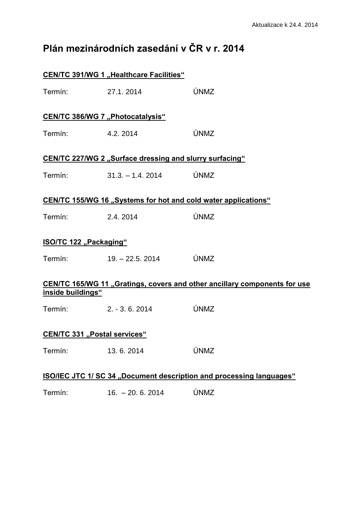## **Plán mezinárodních zasedání v ČR v r. 2014**

|                                                                                                | <b>CEN/TC 391/WG 1 "Healthcare Facilities"</b> |      |  |
|------------------------------------------------------------------------------------------------|------------------------------------------------|------|--|
| Termín:                                                                                        | 27.1.2014                                      | ÚNMZ |  |
| <b>CEN/TC 386/WG 7 "Photocatalysis"</b>                                                        |                                                |      |  |
| Termín:                                                                                        | 4.2, 2014                                      | ÚNMZ |  |
| CEN/TC 227/WG 2 "Surface dressing and slurry surfacing"                                        |                                                |      |  |
| Termín:                                                                                        | $31.3 - 1.4$ , 2014                            | ÚNMZ |  |
| CEN/TC 155/WG 16 "Systems for hot and cold water applications"                                 |                                                |      |  |
| Termín:                                                                                        | 2.4.2014                                       | ÚNMZ |  |
| ISO/TC 122 "Packaging"                                                                         |                                                |      |  |
| Termín:                                                                                        | $19. - 22.5. 2014$                             | ÚNMZ |  |
| CEN/TC 165/WG 11 "Gratings, covers and other ancillary components for use<br>inside buildings" |                                                |      |  |
| Termín:                                                                                        | $2. -3.6.2014$                                 | ÚNMZ |  |
| <b>CEN/TC 331 "Postal services"</b>                                                            |                                                |      |  |
| Termín:                                                                                        | 13.6.2014                                      | ÚNMZ |  |
| <b>ISO/IEC JTC 1/ SC 34 "Document description and processing languages"</b>                    |                                                |      |  |

Termín: 16. – 20. 6. 2014 ÚNMZ